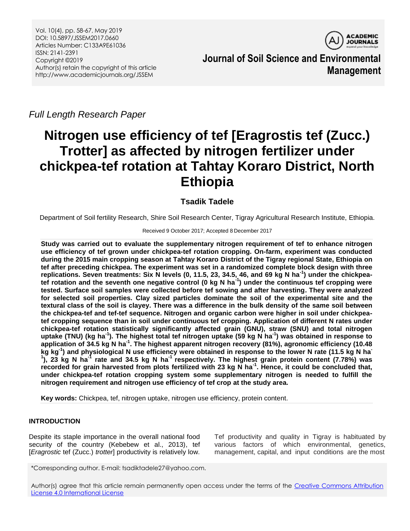Vol. 10(4), pp. 58-67, May 2019 DOI: 10.5897/JSSEM2017.0660 Articles Number: C133A9E61036 ISSN: 2141-2391 Copyright ©2019 Author(s) retain the copyright of this article http://www.academicjournals.org/JSSEM



**Journal of Soil Science and Environmental Management**

*Full Length Research Paper*

# **Nitrogen use efficiency of tef [Eragrostis tef (Zucc.) Trotter] as affected by nitrogen fertilizer under chickpea-tef rotation at Tahtay Koraro District, North Ethiopia**

# **Tsadik Tadele**

Department of Soil fertility Research, Shire Soil Research Center, Tigray Agricultural Research Institute, Ethiopia.

## Received 9 October 2017; Accepted 8 December 2017

**Study was carried out to evaluate the supplementary nitrogen requirement of tef to enhance nitrogen use efficiency of tef grown under chickpea-tef rotation cropping. On-farm, experiment was conducted during the 2015 main cropping season at Tahtay Koraro District of the Tigray regional State, Ethiopia on tef after preceding chickpea. The experiment was set in a randomized complete block design with three replications. Seven treatments: Six N levels (0, 11.5, 23, 34.5, 46, and 69 kg N ha-1 ) under the chickpeatef rotation and the seventh one negative control (0 kg N ha-1 ) under the continuous tef cropping were tested. Surface soil samples were collected before tef sowing and after harvesting. They were analyzed for selected soil properties. Clay sized particles dominate the soil of the experimental site and the textural class of the soil is clayey. There was a difference in the bulk density of the same soil between the chickpea-tef and tef-tef sequence. Nitrogen and organic carbon were higher in soil under chickpeatef cropping sequence than in soil under continuous tef cropping. Application of different N rates under chickpea-tef rotation statistically significantly affected grain (GNU), straw (SNU) and total nitrogen uptake (TNU) (kg ha-1 ). The highest total tef nitrogen uptake (59 kg N ha-1 ) was obtained in response to application of 34.5 kg N ha-1 . The highest apparent nitrogen recovery (81%), agronomic efficiency (10.48 kg kg-1 ) and physiological N use efficiency were obtained in response to the lower N rate (11.5 kg N ha-1 ), 23 kg N ha-1 rate and 34.5 kg N ha-1 respectively. The highest grain protein content (7.78%) was recorded for grain harvested from plots fertilized with 23 kg N ha-1 . Hence, it could be concluded that, under chickpea-tef rotation cropping system some supplementary nitrogen is needed to fulfill the nitrogen requirement and nitrogen use efficiency of tef crop at the study area.**

**Key words:** Chickpea, tef, nitrogen uptake, nitrogen use efficiency, protein content.

# **INTRODUCTION**

Despite its staple importance in the overall national food security of the country (Kebebew et al., 2013), tef [*Eragrostic* tef (Zucc.) *trotter*] productivity is relatively low. Tef productivity and quality in Tigray is habituated by various factors of which environmental, genetics, management, capital, and input conditions are the most

Author(s) agree that this article remain permanently open access under the terms of the Creative Commons Attribution [License 4.0 International License](http://creativecommons.org/licenses/by/4.0/deed.en_US)

<sup>\*</sup>Corresponding author. E-mail: tsadiktadele27@yahoo.com.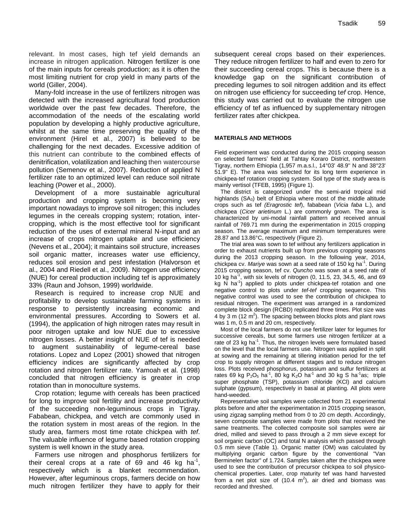relevant. In most cases, high tef yield demands an increase in nitrogen application. Nitrogen fertilizer is one of the main inputs for cereals production; as it is often the most limiting nutrient for crop yield in many parts of the world (Giller, 2004).

Many-fold increase in the use of fertilizers nitrogen was detected with the increased agricultural food production worldwide over the past few decades. Therefore, the accommodation of the needs of the escalating world population by developing a highly productive agriculture, whilst at the same time preserving the quality of the environment (Hirel et al., 2007) is believed to be challenging for the next decades. Excessive addition of this nutrient can contribute to the combined effects of denitrification, volatilization and leaching then watercourse pollution (Semenov et al., 2007). Reduction of applied N fertilizer rate to an optimized level can reduce soil nitrate leaching (Power et al., 2000).

Development of a more sustainable agricultural production and cropping system is becoming very important nowadays to improve soil nitrogen; this includes legumes in the cereals cropping system; rotation, intercropping, which is the most effective tool for significant reduction of the uses of external mineral N-input and an increase of crops nitrogen uptake and use efficiency (Nevens et al., 2004); it maintains soil structure, increases soil organic matter, increases water use efficiency, reduces soil erosion and pest infestation (Halvorson et al., 2004 and Riedell et al., 2009). Nitrogen use efficiency (NUE) for cereal production including tef is approximately 33% (Raun and Johson, 1999) worldwide.

Research is required to increase crop NUE and profitability to develop sustainable farming systems in response to persistently increasing economic and environmental pressures. According to Sowers et al. (1994), the application of high nitrogen rates may result in poor nitrogen uptake and low NUE due to excessive nitrogen losses. A better insight of NUE of tef is needed to augment sustainability of legume-cereal base rotations. Lopez and Lopez (2001) showed that nitrogen efficiency indices are significantly affected by crop rotation and nitrogen fertilizer rate. Yamoah et al. (1998) concluded that nitrogen efficiency is greater in crop rotation than in monoculture systems.

Crop rotation; legume with cereals has been practiced for long to improve soil fertility and increase productivity of the succeeding non-leguminous crops in Tigray. Fababean, chickpea, and vetch are commonly used in the rotation system in most areas of the region. In the study area, farmers most time rotate chickpea with *tef*. The valuable influence of legume based rotation cropping system is well known in the study area.

Farmers use nitrogen and phosphorus fertilizers for their cereal crops at a rate of 69 and 46 kg ha<sup>1</sup>, respectively which is a blanket recommendation. However, after leguminous crops, farmers decide on how much nitrogen fertilizer they have to apply for their

subsequent cereal crops based on their experiences. They reduce nitrogen fertilizer to half and even to zero for their succeeding cereal crops. This is because there is a knowledge gap on the significant contribution of preceding legumes to soil nitrogen addition and its effect on nitrogen use efficiency for succeeding t*ef* crop. Hence, this study was carried out to evaluate the nitrogen use efficiency of tef as influenced by supplementary nitrogen fertilizer rates after chickpea.

#### **MATERIALS AND METHODS**

Field experiment was conducted during the 2015 cropping season on selected farmers' field at Tahtay Koraro District, northwestern Tigray, northern Ethiopia (1,957 m.a.s.l., 14°03' 48.9'' N and 38°23' 51.9'' E). The area was selected for its long term experience in chickpea-tef rotation cropping system. Soil type of the study area is mainly vertisol (TFEB, 1995) (Figure 1).

The district is categorized under the semi-arid tropical mid highlands (SA<sub>3</sub>) belt of Ethiopia where most of the middle altitude crops such as tef *(Eragrostic tef*), fababean (*Vicia faba* L.), and chickpea (*Cicer arietinum* L.) are commonly grown. The area is characterized by uni-modal rainfall pattern and received annual rainfall of 769.71 mm during the experimentation in 2015 cropping season. The average maximum and minimum temperatures were 28.87 and 13.86°C, respectively (Figure 2).

The trial area was sown to tef without any fertilizers application in order to exhaust nutrients built up from previous cropping seasons during the 2013 cropping season. In the following year, 2014, chickpea cv. *Mariye* was sown at a seed rate of 150 kg ha-1 . During 2015 cropping season, tef cv. *Quncho* was sown at a seed rate of 10 kg ha<sup>-1</sup>, with six levels of nitrogen  $(0, 11.5, 23, 34.5, 46,$  and 69 kg N ha<sup>-1</sup>) applied to plots under chickpea-tef rotation and one negative control to plots under *tef-tef* cropping sequence. This negative control was used to see the contribution of chickpea to residual nitrogen. The experiment was arranged in a randomized complete block design (RCBD) replicated three times. Plot size was 4 by 3 m (12  $m^2$ ). The spacing between blocks plots and plant rows was 1 m, 0.5 m and 20 cm, respectively.

Most of the local farmers do not use fertilizer later for legumes for successive cereals, but some farmers use nitrogen fertilizer at a rate of 23 kg ha<sup>-1</sup>. Thus, the nitrogen levels were formulated based on the level that the local farmers use. Nitrogen was applied in split at sowing and the remaining at tillering initiation period for the tef crop to supply nitrogen at different stages and to reduce nitrogen loss. Plots received phosphorus, potassium and sulfur fertilizers at rates 69 kg  $P_2O_5$  ha<sup>-1</sup>, 80 kg K<sub>2</sub>O ha<sup>-1</sup> and 30 kg S ha<sup>-1</sup>as; triple super phosphate (TSP), potassium chloride (KCl) and calcium sulphate (gypsum), respectively in basal at planting. All plots were hand-weeded.

Representative soil samples were collected from 21 experimental plots before and after the experimentation in 2015 cropping season, using zigzag sampling method from 0 to 20 cm depth. Accordingly, seven composite samples were made from plots that received the same treatments. The collected composite soil samples were air dried, milled and sieved to pass through a 2 mm sieve except for soil organic carbon (OC) and total N analysis which passed through 0.5 mm sieve (Table 1). Organic matter (OM) was calculated by multiplying organic carbon figure by the conventional "Van Berminelen factor" of 1.724. Samples taken after the chickpea were used to see the contribution of precursor chickpea to soil physicochemical properties. Later, crop maturity tef was hand harvested from a net plot size of  $(10.4 \text{ m}^2)$ , air dried and biomass was recorded and threshed.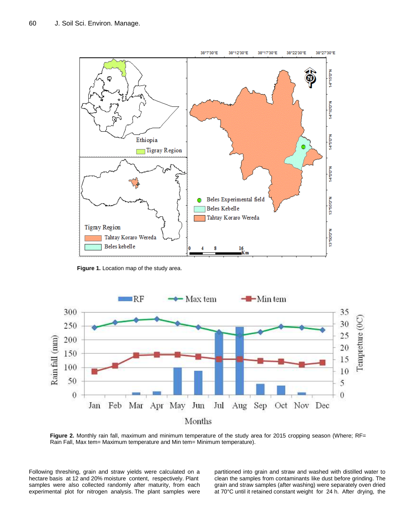

**Figure 1.** Location map of the study area.



**Figure 2.** Monthly rain fall, maximum and minimum temperature of the study area for 2015 cropping season (Where; RF= Rain Fall, Max tem= Maximum temperature and Min tem= Minimum temperature).

Following threshing, grain and straw yields were calculated on a hectare basis at 12 and 20% moisture content, respectively. Plant samples were also collected randomly after maturity, from each experimental plot for nitrogen analysis. The plant samples were partitioned into grain and straw and washed with distilled water to clean the samples from contaminants like dust before grinding. The grain and straw samples (after washing) were separately oven dried at 70°C until it retained constant weight for 24 h. After drying, the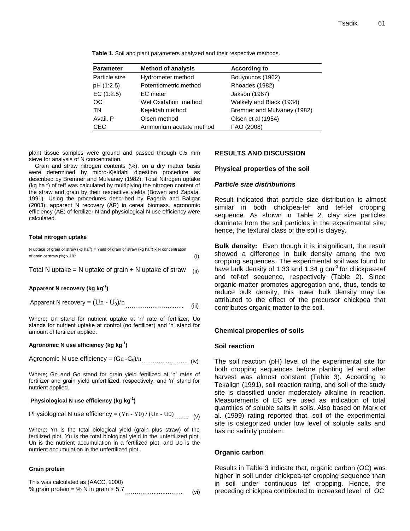| <b>Parameter</b> | <b>Method of analysis</b> | <b>According to</b>         |
|------------------|---------------------------|-----------------------------|
| Particle size    | Hydrometer method         | Bouyoucos (1962)            |
| pH (1:2.5)       | Potentiometric method     | Rhoades (1982)              |
| EC(1:2.5)        | EC meter                  | Jakson (1967)               |
| OC.              | Wet Oxidation method      | Walkely and Black (1934)    |
| TN               | Kejeldah method           | Bremner and Mulvaney (1982) |
| Avail. P         | Olsen method              | Olsen et al (1954)          |
| <b>CEC</b>       | Ammonium acetate method   | FAO (2008)                  |

**Table 1.** Soil and plant parameters analyzed and their respective methods.

plant tissue samples were ground and passed through 0.5 mm sieve for analysis of N concentration.

Grain and straw nitrogen contents (%), on a dry matter basis were determined by micro-Kjeldahl digestion procedure as described by Bremner and Mulvaney (1982). Total Nitrogen uptake (kg ha<sup>-1</sup>) of teff was calculated by multiplying the nitrogen content of the straw and grain by their respective yields (Bowen and Zapata, 1991). Using the procedures described by Fageria and Baligar (2003), apparent N recovery (AR) in cereal biomass, agronomic efficiency (AE) of fertilizer N and physiological N use efficiency were calculated.

#### **Total nitrogen uptake**

| N uptake of grain or straw (kg ha <sup>-1</sup> ) = Yield of grain or straw (kg ha <sup>-1</sup> ) x N concentration |  |
|----------------------------------------------------------------------------------------------------------------------|--|
| of grain or straw $\left(\% \right) \times 10^{-2}$                                                                  |  |

Total N uptake = N uptake of grain + N uptake of straw  $(iii)$ 

#### **Apparent N recovery (kg kg-1 )**

Apparent N recovery = (Un - U0)/n ……………………..….. (iii)

Where; Un stand for nutrient uptake at 'n' rate of fertilizer, Uo stands for nutrient uptake at control (no fertilizer) and 'n' stand for amount of fertilizer applied.

#### **Agronomic N use efficiency (kg kg-1 )**

Agronomic N use efficiency = (Gn -G0)/n…………..……….. (iv)

Where; Gn and Go stand for grain yield fertilized at 'n' rates of fertilizer and grain yield unfertilized, respectively, and 'n' stand for nutrient applied.

## **Physiological N use efficiency (kg kg-1 )**

Physiological N use efficiency = (Yn - Y0) **/** (Un - U0) …..... (v)

Where; Yn is the total biological yield (grain plus straw) of the fertilized plot, Yu is the total biological yield in the unfertilized plot, Un is the nutrient accumulation in a fertilized plot, and Uo is the nutrient accumulation in the unfertilized plot.

#### **Grain protein**

| This was calculated as (AACC, 2000)         |      |
|---------------------------------------------|------|
| % grain protein = % N in grain $\times$ 5.7 | (vi) |

### **RESULTS AND DISCUSSION**

#### **Physical properties of the soil**

## *Particle size distributions*

Result indicated that particle size distribution is almost similar in both chickpea-tef and tef-tef cropping sequence. As shown in Table 2, clay size particles dominate from the soil particles in the experimental site; hence, the textural class of the soil is clayey.

**Bulk density:** Even though it is insignificant, the result showed a difference in bulk density among the two cropping sequences. The experimental soil was found to have bulk density of 1.33 and 1.34 g cm<sup>-3</sup> for chickpea-tef and tef-tef sequence, respectively (Table 2). Since organic matter promotes aggregation and, thus, tends to reduce bulk density, this lower bulk density may be attributed to the effect of the precursor chickpea that contributes organic matter to the soil.

#### **Chemical properties of soils**

#### **Soil reaction**

The soil reaction (pH) level of the experimental site for both cropping sequences before planting tef and after harvest was almost constant (Table 3). According to Tekalign (1991), soil reaction rating, and soil of the study site is classified under moderately alkaline in reaction. Measurements of EC are used as indication of total quantities of soluble salts in soils. Also based on Marx et al. (1999) rating reported that, soil of the experimental site is categorized under low level of soluble salts and has no salinity problem.

#### **Organic carbon**

Results in Table 3 indicate that, organic carbon (OC) was higher in soil under chickpea-tef cropping sequence than in soil under continuous tef cropping. Hence, the preceding chickpea contributed to increased level of OC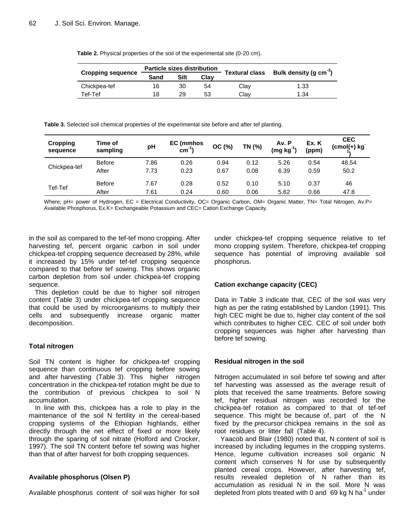| Table 2. Physical properties of the soil of the experimental site (0-20 cm). |  |  |
|------------------------------------------------------------------------------|--|--|
|------------------------------------------------------------------------------|--|--|

|                          | <b>Particle sizes distribution</b> |      |      |                       |                                    |  |
|--------------------------|------------------------------------|------|------|-----------------------|------------------------------------|--|
| <b>Cropping sequence</b> | Sand                               | Silt | Clav | <b>Textural class</b> | Bulk density (q cm <sup>-3</sup> ) |  |
| Chickpea-tef             | 16                                 | 30   | 54   | Clay                  | 1.33                               |  |
| Tef-Tef                  | 18                                 | 29   | 53   | Clav                  | 1.34                               |  |

**Table 3.** Selected soil chemical properties of the experimental site before and after tef planting.

| Cropping<br>sequence | Time of<br>sampling | pH   | EC (mmhos<br>$cm^{-1}$ | OC (%) | TN (%) | Av. P<br>$(mg kg-1)$ | Ex. K<br>(ppm) | <b>CEC</b><br>$(cmol(+)$ kg |
|----------------------|---------------------|------|------------------------|--------|--------|----------------------|----------------|-----------------------------|
| Chickpea-tef         | <b>Before</b>       | 7.86 | 0.26                   | 0.94   | 0.12   | 5.26                 | 0.54           | 48.54                       |
|                      | After               | 7.73 | 0.23                   | 0.67   | 0.08   | 6.39                 | 0.59           | 50.2                        |
| Tef-Tef              | <b>Before</b>       | 7.67 | 0.28                   | 0.52   | 0.10   | 5.10                 | 0.37           | 46                          |
|                      | After               | 7.61 | 0.24                   | 0.60   | 0.06   | 5.62                 | 0.66           | 47.8                        |

Where; pH= power of Hydrogen, EC = Electrical Conductivity, OC= Organic Carbon, OM= Organic Matter, TN= Total Nitrogen, Av.P= Available Phosphorus, Ex.K= Exchangeable Potassium and CEC= Cation Exchange Capacity.

in the soil as compared to the tef-tef mono cropping. After harvesting tef, percent organic carbon in soil under chickpea-tef cropping sequence decreased by 28%, while it increased by 15% under tef-tef cropping sequence compared to that before tef sowing. This shows organic carbon depletion from soil under chickpea-tef cropping sequence.

This depletion could be due to higher soil nitrogen content (Table 3) under chickpea-tef cropping sequence that could be used by microorganisms to multiply their cells and subsequently increase organic matter decomposition.

# **Total nitrogen**

Soil TN content is higher for chickpea-tef cropping sequence than continuous tef cropping before sowing and after harvesting (Table 3). This higher nitrogen concentration in the chickpea-tef rotation might be due to the contribution of previous chickpea to soil N accumulation.

In line with this, chickpea has a role to play in the maintenance of the soil N fertility in the cereal-based cropping systems of the Ethiopian highlands, either directly through the net effect of fixed or more likely through the sparing of soil nitrate (Holford and Crocker, 1997). The soil TN content before tef sowing was higher than that of after harvest for both cropping sequences.

# **Available phosphorus (Olsen P)**

Available phosphorus content of soil was higher for soil

under chickpea-tef cropping sequence relative to tef mono cropping system. Therefore, chickpea-tef cropping sequence has potential of improving available soil phosphorus.

# **Cation exchange capacity (CEC)**

Data in Table 3 indicate that, CEC of the soil was very high as per the rating established by Landon (1991). This high CEC might be due to, higher clay content of the soil which contributes to higher CEC. CEC of soil under both cropping sequences was higher after harvesting than before tef sowing.

# **Residual nitrogen in the soil**

Nitrogen accumulated in soil before tef sowing and after tef harvesting was assessed as the average result of plots that received the same treatments. Before sowing tef, higher residual nitrogen was recorded for the chickpea-tef rotation as compared to that of tef-tef sequence. This might be because of, part of the N fixed by the precursor chickpea remains in the soil as root residues or litter fall (Table 4).

Yaacob and Blair (1980) noted that, N content of soil is increased by including legumes in the cropping systems. Hence, legume cultivation increases soil organic N content which conserves N for use by subsequently planted cereal crops. However, after harvesting tef, results revealed depletion of N rather than its accumulation as residual N in the soil. More N was depleted from plots treated with 0 and 69 kg N ha<sup>-1</sup> under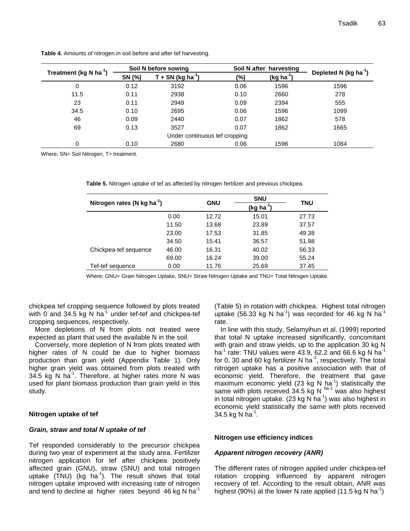|                               | Soil N before sowing |                               |        | Soil N after harvesting |                                   |  |
|-------------------------------|----------------------|-------------------------------|--------|-------------------------|-----------------------------------|--|
| Treatment (kg N $ha^{-1}$ )   | SN (%)               | T + SN (kg ha <sup>-1</sup> ) | $(\%)$ | $(kg ha-1)$             | Depleted N (kg ha <sup>-1</sup> ) |  |
| 0                             | 0.12                 | 3192                          | 0.06   | 1596                    | 1596                              |  |
| 11.5                          | 0.11                 | 2938                          | 0.10   | 2660                    | 278                               |  |
| 23                            | 0.11                 | 2949                          | 0.09   | 2394                    | 555                               |  |
| 34.5                          | 0.10                 | 2695                          | 0.06   | 1596                    | 1099                              |  |
| 46                            | 0.09                 | 2440                          | 0.07   | 1862                    | 578                               |  |
| 69                            | 0.13                 | 3527                          | 0.07   | 1862                    | 1665                              |  |
| Under continuous tef cropping |                      |                               |        |                         |                                   |  |
| 0                             | 0.10                 | 2680                          | 0.06   | 1596                    | 1084                              |  |

**Table 4.** Amounts of nitrogen in soil before and after tef harvesting.

Where; SN= Soil Nitrogen, T= treatment.

|                                           |       |            | <b>SNU</b>  |       |  |
|-------------------------------------------|-------|------------|-------------|-------|--|
| Nitrogen rates (N $kg$ ha <sup>-1</sup> ) |       | <b>GNU</b> | $(kg ha-1)$ | TNU   |  |
|                                           | 0.00  | 12.72      | 15.01       | 27.73 |  |
|                                           | 11.50 | 13.68      | 23.89       | 37.57 |  |
|                                           | 23.00 | 17.53      | 31.85       | 49.38 |  |
|                                           | 34.50 | 15.41      | 36.57       | 51.98 |  |
| Chickpea-tef sequence                     | 46.00 | 16.31      | 40.02       | 56.33 |  |
|                                           | 69.00 | 16.24      | 39.00       | 55.24 |  |
| Tef-tef sequence                          | 0.00  | 11.76      | 25.69       | 37.45 |  |

|  |  |  | Table 5. Nitrogen uptake of tef as affected by nitrogen fertilizer and previous chickpea. |  |
|--|--|--|-------------------------------------------------------------------------------------------|--|
|  |  |  |                                                                                           |  |

Where; GNU= Grain Nitrogen Uptake, SNU= Straw Nitrogen Uptake and TNU= Total Nitrogen Uptake.

chickpea tef cropping sequence followed by plots treated with 0 and 34.5 kg N ha<sup>-1</sup> under tef-tef and chickpea-tef cropping sequences, respectively.

More depletions of N from plots not treated were expected as plant that used the available N in the soil.

Conversely, more depletion of N from plots treated with higher rates of N could be due to higher biomass production than grain yield (Appendix Table 1). Only higher grain yield was obtained from plots treated with 34.5 kg N ha $^{-1}$ . Therefore, at higher rates more N was used for plant biomass production than grain yield in this study.

## **Nitrogen uptake of tef**

## *Grain, straw and total N uptake of tef*

Tef responded considerably to the precursor chickpea during two year of experiment at the study area. Fertilizer nitrogen application for tef after chickpea positively affected grain (GNU), straw (SNU) and total nitrogen uptake (TNU) (kg ha<sup>-1</sup>). The result shows that total nitrogen uptake improved with increasing rate of nitrogen and tend to decline at higher rates beyond  $46$  kg N ha<sup>-1</sup>

(Table 5) in rotation with chickpea. Highest total nitrogen uptake (56.33 kg N ha<sup>-1</sup>) was recorded for 46 kg N ha<sup>-1</sup> rate.

In line with this study, Selamyihun et al. (1999) reported that total N uptake increased significantly, concomitant with grain and straw yields, up to the application 30 kg N ha $^1$  rate: TNU values were 43.9, 62.2 and 66.6 kg N ha $^1$ for 0, 30 and 60 kg fertilizer N ha<sup>-1</sup>, respectively. The total nitrogen uptake has a positive association with that of economic yield. Therefore, the treatment that gave maximum economic yield (23 kg N ha<sup>-1</sup>) statistically the same with plots received  $34.5$  kg N  $^{\text{ha-1}}$  was also highest in total nitrogen uptake. (23 kg N ha<sup>-1</sup>) was also highest in economic yield statistically the same with plots received 34.5 kg N  $ha^{-1}$ .

## **Nitrogen use efficiency indices**

# *Apparent nitrogen recovery (ANR)*

The different rates of nitrogen applied under chickpea-tef rotation cropping influenced by apparent nitrogen recovery of tef. According to the result obtain, ANR was highest (90%) at the lower N rate applied (11.5 kg N ha<sup>-1</sup>)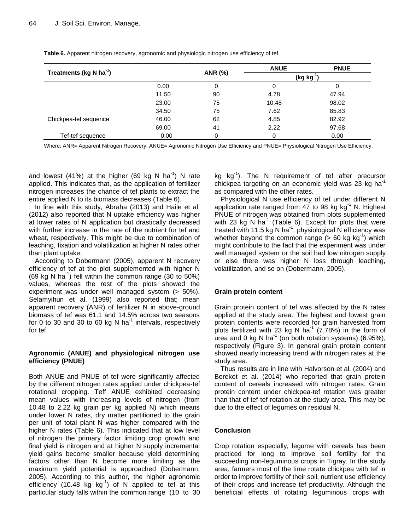|                                     |       |         | <b>ANUE</b>           | <b>PNUE</b> |
|-------------------------------------|-------|---------|-----------------------|-------------|
| Treatments (kg N ha <sup>-1</sup> ) |       | ANR (%) | $(\text{kg kg}^{-1})$ |             |
|                                     | 0.00  | 0       | 0                     |             |
|                                     | 11.50 | 90      | 4.78                  | 47.94       |
|                                     | 23.00 | 75      | 10.48                 | 98.02       |
|                                     | 34.50 | 75      | 7.62                  | 85.83       |
| Chickpea-tef sequence               | 46.00 | 62      | 4.85                  | 82.92       |
|                                     | 69.00 | 41      | 2.22                  | 97.68       |
| Tef-tef sequence                    | 0.00  | 0       | 0                     | 0.00        |

**Table 6.** Apparent nitrogen recovery, agronomic and physiologic nitrogen use efficiency of tef.

Where; ANR= Apparent Nitrogen Recovery, ANUE= Agronomic Nitrogen Use Efficiency and PNUE= Physiological Nitrogen Use Efficiency.

and lowest (41%) at the higher (69 kg N ha<sup>-1</sup>) N rate applied. This indicates that, as the application of fertilizer nitrogen increases the chance of tef plants to extract the entire applied N to its biomass decreases (Table 6).

In line with this study, Abraha (2013) and Haile et al. (2012) also reported that N uptake efficiency was higher at lower rates of N application but drastically decreased with further increase in the rate of the nutrient for tef and wheat, respectively. This might be due to combination of leaching, fixation and volatilization at higher N rates other than plant uptake.

According to Dobermann (2005), apparent N recovery efficiency of tef at the plot supplemented with higher N (69 kg N ha<sup>-1</sup>) fell within the common range (30 to 50%) values, whereas the rest of the plots showed the experiment was under well managed system (> 50%). Selamyihun et al. (1999) also reported that; mean apparent recovery (ANR) of fertilizer N in above-ground biomass of tef was 61.1 and 14.5% across two seasons for 0 to 30 and 30 to 60 kg N ha $^{-1}$  intervals, respectively for tef.

# **Agronomic (ANUE) and physiological nitrogen use efficiency (PNUE)**

Both ANUE and PNUE of tef were significantly affected by the different nitrogen rates applied under chickpea-tef rotational cropping. Teff ANUE exhibited decreasing mean values with increasing levels of nitrogen (from 10.48 to 2.22 kg grain per kg applied N) which means under lower N rates, dry matter partitioned to the grain per unit of total plant N was higher compared with the higher N rates (Table 6). This indicated that at low level of nitrogen the primary factor limiting crop growth and final yield is nitrogen and at higher N supply incremental yield gains become smaller because yield determining factors other than N become more limiting as the maximum yield potential is approached (Dobermann, 2005). According to this author, the higher agronomic efficiency (10.48 kg kg<sup>-1</sup>) of N applied to tef at this particular study falls within the common range (10 to 30

kg  $kg^{-1}$ ). The N requirement of tef after precursor chickpea targeting on an economic yield was 23 kg ha<sup>-1</sup> as compared with the other rates.

Physiological N use efficiency of tef under different N application rate ranged from 47 to 98 kg  $kg^{-1}$  N. Highest PNUE of nitrogen was obtained from plots supplemented with 23 kg N ha<sup>1</sup> (Table 6). Except for plots that were treated with 11.5 kg N ha<sup>-1</sup>, physiological N efficiency was whether beyond the common range  $($  > 60 kg kg<sup>-1</sup>) which might contribute to the fact that the experiment was under well managed system or the soil had low nitrogen supply or else there was higher N loss through leaching, volatilization, and so on (Dobermann, 2005).

# **Grain protein content**

Grain protein content of tef was affected by the N rates applied at the study area. The highest and lowest grain protein contents were recorded for grain harvested from plots fertilized with 23 kg N ha<sup>-1</sup> (7.78%) in the form of urea and 0 kg N ha $^{-1}$  (on both rotation systems) (6.95%), respectively (Figure 3). In general grain protein content showed nearly increasing trend with nitrogen rates at the study area.

Thus results are in line with Halvorson et al. (2004) and Bereket et al. (2014) who reported that grain protein content of cereals increased with nitrogen rates. Grain protein content under chickpea-tef rotation was greater than that of tef-tef rotation at the study area. This may be due to the effect of legumes on residual N.

# **Conclusion**

Crop rotation especially, legume with cereals has been practiced for long to improve soil fertility for the succeeding non-leguminous crops in Tigray. In the study area, farmers most of the time rotate chickpea with tef in order to improve fertility of their soil, nutrient use efficiency of their crops and increase tef productivity. Although the beneficial effects of rotating leguminous crops with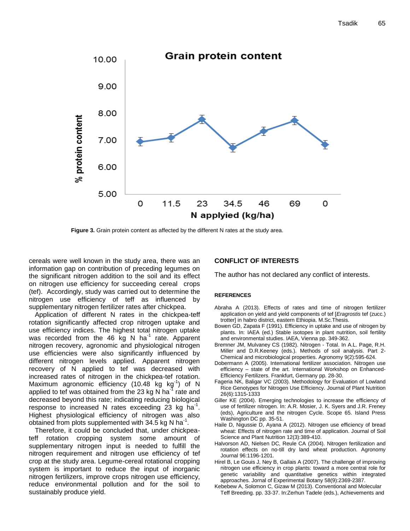

**Figure 3.** Grain protein content as affected by the different N rates at the study area.

cereals were well known in the study area, there was an information gap on contribution of preceding legumes on the significant nitrogen addition to the soil and its effect on nitrogen use efficiency for succeeding cereal crops (tef). Accordingly, study was carried out to determine the nitrogen use efficiency of teff as influenced by supplementary nitrogen fertilizer rates after chickpea.

Application of different N rates in the chickpea-teff rotation significantly affected crop nitrogen uptake and use efficiency indices. The highest total nitrogen uptake was recorded from the 46 kg N ha<sup>-1</sup> rate. Apparent nitrogen recovery, agronomic and physiological nitrogen use efficiencies were also significantly influenced by different nitrogen levels applied. Apparent nitrogen recovery of N applied to tef was decreased with increased rates of nitrogen in the chickpea-tef rotation. Maximum agronomic efficiency (10.48 kg kg<sup>-1</sup>) of N applied to tef was obtained from the 23 kg N ha<sup>-1</sup> rate and decreased beyond this rate; indicating reducing biological response to increased N rates exceeding  $23$  kg ha<sup>-1</sup>. Highest physiological efficiency of nitrogen was also obtained from plots supplemented with 34.5 kg N ha<sup>-1</sup>.

Therefore, it could be concluded that, under chickpeateff rotation cropping system some amount of supplementary nitrogen input is needed to fulfill the nitrogen requirement and nitrogen use efficiency of tef crop at the study area. Legume-cereal rotational cropping system is important to reduce the input of inorganic nitrogen fertilizers, improve crops nitrogen use efficiency, reduce environmental pollution and for the soil to sustainably produce yield.

#### **CONFLICT OF INTERESTS**

The author has not declared any conflict of interests.

#### **REFERENCES**

- Abraha A (2013). Effects of rates and time of nitrogen fertilizer application on yield and yield components of tef [*Eragrostis* tef (zucc.) trotter] in habro district, eastern Ethiopia. M.Sc.Thesis.
- Bowen GD, Zapata F (1991). Efficiency in uptake and use of nitrogen by plants. In: IAEA (ed.) Stable isotopes in plant nutrition, soil fertility and environmental studies. IAEA, Vienna pp. 349-362.
- Bremner JM, Mulvaney CS (1982). Nitrogen Total. In A.L. Page, R.H. Miller and D.R.Keeney (eds.). Methods of soil analysis. Part 2- Chemical and microbiological properties. Agronomy 9(2):595-624.
- Dobermann A (2005). International fertilizer association. Nitrogen use efficiency – state of the art. International Workshop on Enhanced-Efficiency Fertilizers. Frankfurt, Germany pp. 28-30.
- Fageria NK, Baligar VC (2003). Methodology for Evaluation of Lowland Rice Genotypes for Nitrogen Use Efficiency. Journal of Plant Nutrition 26(6):1315-1333
- Giller KE (2004). Emerging technologies to increase the efficiency of use of fertilizer nitrogen. In: A.R. Mosier, J. K. Syers and J.R. Freney (eds), Agriculture and the nitrogen Cycle. Scope 65. Island Press Washington DC pp. 35-51.
- Haile D, Nigussie D, Ayana A (2012). Nitrogen use efficiency of bread wheat: Effects of nitrogen rate and time of application. Journal of Soil Science and Plant Nutrition 12(3):389-410.
- Halvorson AD, Nielsen DC, Reule CA (2004). Nitrogen fertilization and rotation effects on no-till dry land wheat production. Agronomy Journal 96:1196-1201.
- Hirel B, Le Gouis J, Ney B, Gallais A (2007). The challenge of improving nitrogen use efficiency in crop plants: toward a more central role for genetic variability and quantitative genetics within integrated approaches. Jornal of Experimental Botany 58(9):2369-2387.
- Kebebew A, Solomon C, Gizaw M (2013). Conventional and Molecular Teff Breeding. pp. 33-37. In:Zerhun Tadele (eds.), Achievements and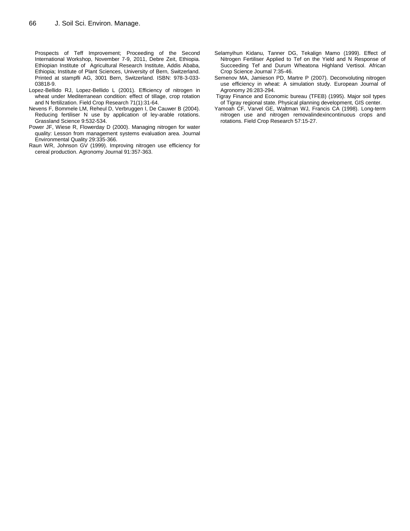Prospects of Teff Improvement; Proceeding of the Second International Workshop, November 7-9, 2011, Debre Zeit, Ethiopia. Ethiopian Institute of Agricultural Research Institute, Addis Ababa, Ethiopia; Institute of Plant Sciences, University of Bern, Switzerland. Printed at stampfli AG, 3001 Bern, Switzerland. ISBN: 978-3-033- 03818-9.

- Lopez-Bellido RJ, Lopez-Bellido L (2001). Efficiency of nitrogen in wheat under Mediterranean condition: effect of tillage, crop rotation and N fertilization. Field Crop Research 71(1):31-64.
- Nevens F, Bommele LM, Reheul D, Verbruggen I, De Cauwer B (2004). Reducing fertiliser N use by application of ley-arable rotations. Grassland Science 9:532-534.
- Power JF, Wiese R, Flowerday D (2000). Managing nitrogen for water quality: Lesson from management systems evaluation area. Journal Environmental Quality 29:335-366.
- Raun WR, Johnson GV (1999). Improving nitrogen use efficiency for cereal production. Agronomy Journal 91:357-363.
- Selamyihun Kidanu, Tanner DG, Tekalign Mamo (1999). Effect of Nitrogen Fertiliser Applied to Tef on the Yield and N Response of Succeeding Tef and Durum Wheatona Highland Vertisol. African Crop Science Journal 7:35-46.
- Semenov MA, Jamieson PD, Martre P (2007). Deconvoluting nitrogen use efficiency in wheat: A simulation study. European Journal of Agronomy 26:283-294.
- Tigray Finance and Economic bureau (TFEB) (1995). Major soil types of Tigray regional state. Physical planning development, GIS center.
- Yamoah CF, Varvel GE, Waltman WJ, Francis CA (1998). Long-term nitrogen use and nitrogen removalindexincontinuous crops and rotations. Field Crop Research 57:15-27.